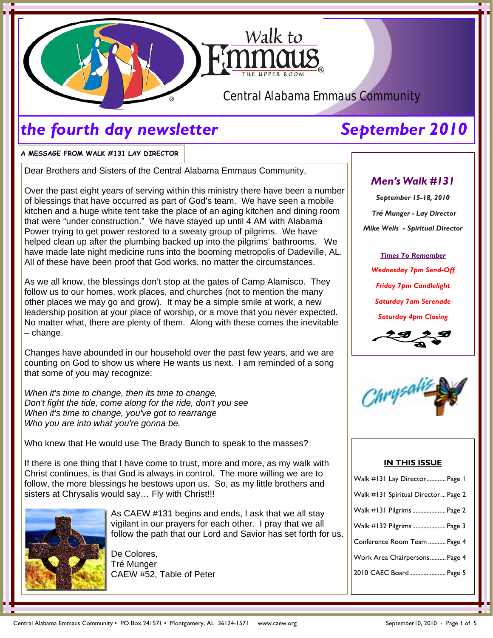

# *the fourth day newsletter* September 2010

**A MESSAGE FROM WALK #131 LAY DIRECTOR** 

Dear Brothers and Sisters of the Central Alabama Emmaus Community,

Over the past eight years of serving within this ministry there have been a number of blessings that have occurred as part of God's team. We have seen a mobile kitchen and a huge white tent take the place of an aging kitchen and dining room that were "under construction." We have stayed up until 4 AM with Alabama Power trying to get power restored to a sweaty group of pilgrims. We have helped clean up after the plumbing backed up into the pilgrims' bathrooms. We have made late night medicine runs into the booming metropolis of Dadeville, AL. All of these have been proof that God works, no matter the circumstances.

As we all know, the blessings don't stop at the gates of Camp Alamisco. They follow us to our homes, work places, and churches (not to mention the many other places we may go and grow). It may be a simple smile at work, a new leadership position at your place of worship, or a move that you never expected. No matter what, there are plenty of them. Along with these comes the inevitable – change.

Changes have abounded in our household over the past few years, and we are counting on God to show us where He wants us next. I am reminded of a song that some of you may recognize:

*When it's time to change, then its time to change, Don't fight the tide, come along for the ride, don't you see When it's time to change, you've got to rearrange Who you are into what you're gonna be.* 

Who knew that He would use The Brady Bunch to speak to the masses?

If there is one thing that I have come to trust, more and more, as my walk with Christ continues, is that God is always in control. The more willing we are to follow, the more blessings he bestows upon us. So, as my little brothers and sisters at Chrysalis would say... Fly with Christ!!!



As CAEW #131 begins and ends, I ask that we all stay vigilant in our prayers for each other. I pray that we all follow the path that our Lord and Savior has set forth for us.

De Colores, Tré Munger CAEW #52, Table of Peter

# *Men's Walk #131*

*September 15-18, 2010 Tré Munger - Lay Director Mike Wells - Spiritual Director* 

*Times To Remember Wednesday 7pm Send-Off Friday 7pm Candlelight Saturday 7am Serenade Saturday 4pm Closing* 



### **IN THIS ISSUE**

| Walk #131 Lay Director Page 1       |
|-------------------------------------|
| Walk #131 Spiritual Director Page 2 |
| Walk #131 Pilgrims  Page 2          |
| Walk #132 Pilgrims  Page 3          |
| Conference Room Team  Page 4        |
| Work Area Chairpersons Page 4       |
| 2010 CAEC Board Page 5              |
|                                     |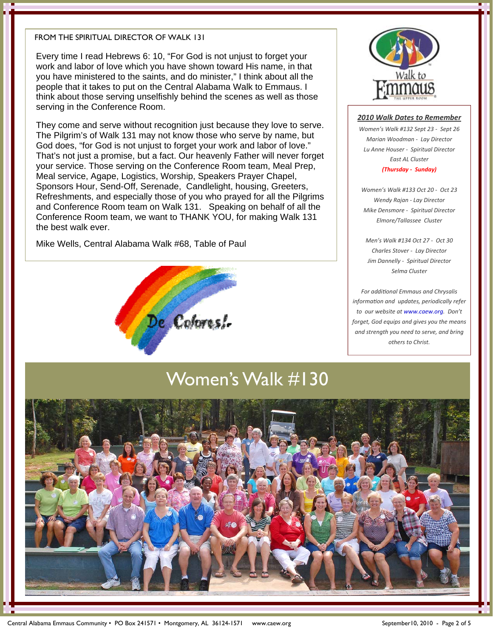### FROM THE SPIRITUAL DIRECTOR OF WALK 131

Every time I read Hebrews 6: 10, "For God is not unjust to forget your work and labor of love which you have shown toward His name, in that you have ministered to the saints, and do minister," I think about all the people that it takes to put on the Central Alabama Walk to Emmaus. I think about those serving unselfishly behind the scenes as well as those serving in the Conference Room.

They come and serve without recognition just because they love to serve. The Pilgrim's of Walk 131 may not know those who serve by name, but God does, "for God is not unjust to forget your work and labor of love." That's not just a promise, but a fact. Our heavenly Father will never forget your service. Those serving on the Conference Room team, Meal Prep, Meal service, Agape, Logistics, Worship, Speakers Prayer Chapel, Sponsors Hour, Send-Off, Serenade, Candlelight, housing, Greeters, Refreshments, and especially those of you who prayed for all the Pilgrims and Conference Room team on Walk 131. Speaking on behalf of all the Conference Room team, we want to THANK YOU, for making Walk 131 the best walk ever.

Mike Wells, Central Alabama Walk #68, Table of Paul





### *2010 Walk Dates to Remember*

*Women's Walk #132 Sept 23 ‐ Sept 26 Marian Woodman ‐ Lay Director Lu Anne Houser ‐ Spiritual Director East AL Cluster (Thursday ‐ Sunday)*

*Women's Walk #133 Oct 20 ‐ Oct 23 Wendy Rajan ‐ Lay Director Mike Densmore ‐ Spiritual Director Elmore/Tallassee Cluster*

*Men's Walk #134 Oct 27 ‐ Oct 30 Charles Stover ‐ Lay Director Jim Dannelly ‐ Spiritual Director Selma Cluster*

*For addiƟonal Emmaus and Chrysalis informaƟon and updates, periodically refer to our website at www.caew.org. Don't forget, God equips and gives you the means and strength you need to serve, and bring others to Christ.* 

# Women's Walk #130

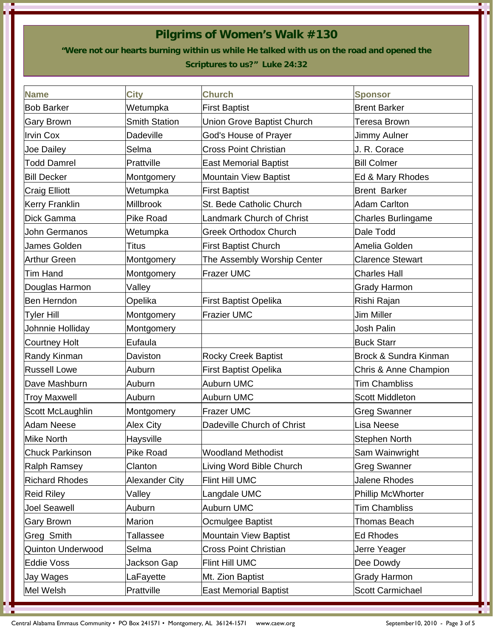# **Pilgrims of Women's Walk #130**

**"Were not our hearts burning within us while He talked with us on the road and opened the** 

## **Scriptures to us?" Luke 24:32**

| <b>Name</b>              | City                  | <b>Church</b>                    | <b>Sponsor</b>            |
|--------------------------|-----------------------|----------------------------------|---------------------------|
| <b>Bob Barker</b>        | Wetumpka              | <b>First Baptist</b>             | <b>Brent Barker</b>       |
| Gary Brown               | <b>Smith Station</b>  | Union Grove Baptist Church       | Teresa Brown              |
| Irvin Cox                | <b>Dadeville</b>      | God's House of Prayer            | Jimmy Aulner              |
| Joe Dailey               | Selma                 | <b>Cross Point Christian</b>     | J. R. Corace              |
| <b>Todd Damrel</b>       | Prattville            | <b>East Memorial Baptist</b>     | <b>Bill Colmer</b>        |
| <b>Bill Decker</b>       | Montgomery            | <b>Mountain View Baptist</b>     | Ed & Mary Rhodes          |
| Craig Elliott            | Wetumpka              | <b>First Baptist</b>             | <b>Brent Barker</b>       |
| <b>Kerry Franklin</b>    | Millbrook             | St. Bede Catholic Church         | <b>Adam Carlton</b>       |
| Dick Gamma               | <b>Pike Road</b>      | <b>Landmark Church of Christ</b> | <b>Charles Burlingame</b> |
| John Germanos            | Wetumpka              | <b>Greek Orthodox Church</b>     | Dale Todd                 |
| James Golden             | Titus                 | <b>First Baptist Church</b>      | Amelia Golden             |
| Arthur Green             | Montgomery            | The Assembly Worship Center      | <b>Clarence Stewart</b>   |
| Tim Hand                 | Montgomery            | <b>Frazer UMC</b>                | <b>Charles Hall</b>       |
| Douglas Harmon           | Valley                |                                  | <b>Grady Harmon</b>       |
| Ben Herndon              | Opelika               | <b>First Baptist Opelika</b>     | Rishi Rajan               |
| Tyler Hill               | Montgomery            | <b>Frazier UMC</b>               | Jim Miller                |
| Johnnie Holliday         | Montgomery            |                                  | <b>Josh Palin</b>         |
| Courtney Holt            | Eufaula               |                                  | <b>Buck Starr</b>         |
| Randy Kinman             | Daviston              | <b>Rocky Creek Baptist</b>       | Brock & Sundra Kinman     |
| <b>Russell Lowe</b>      | Auburn                | <b>First Baptist Opelika</b>     | Chris & Anne Champion     |
| Dave Mashburn            | Auburn                | Auburn UMC                       | <b>Tim Chambliss</b>      |
| Troy Maxwell             | Auburn                | Auburn UMC                       | <b>Scott Middleton</b>    |
| Scott McLaughlin         | Montgomery            | <b>Frazer UMC</b>                | <b>Greg Swanner</b>       |
| Adam Neese               | <b>Alex City</b>      | Dadeville Church of Christ       | <b>Lisa Neese</b>         |
| Mike North               | Haysville             |                                  | <b>Stephen North</b>      |
| <b>Chuck Parkinson</b>   | <b>Pike Road</b>      | <b>Woodland Methodist</b>        | Sam Wainwright            |
| <b>Ralph Ramsey</b>      | Clanton               | Living Word Bible Church         | <b>Greg Swanner</b>       |
| <b>Richard Rhodes</b>    | <b>Alexander City</b> | Flint Hill UMC                   | <b>Jalene Rhodes</b>      |
| <b>Reid Riley</b>        | Valley                | Langdale UMC                     | Phillip McWhorter         |
| Joel Seawell             | Auburn                | Auburn UMC                       | Tim Chambliss             |
| Gary Brown               | <b>Marion</b>         | Ocmulgee Baptist                 | Thomas Beach              |
| Greg Smith               | Tallassee             | <b>Mountain View Baptist</b>     | <b>Ed Rhodes</b>          |
| <b>Quinton Underwood</b> | Selma                 | <b>Cross Point Christian</b>     | Jerre Yeager              |
| <b>Eddie Voss</b>        | Jackson Gap           | <b>Flint Hill UMC</b>            | Dee Dowdy                 |
| Jay Wages                | LaFayette             | Mt. Zion Baptist                 | <b>Grady Harmon</b>       |
| Mel Welsh                | Prattville            | <b>East Memorial Baptist</b>     | Scott Carmichael          |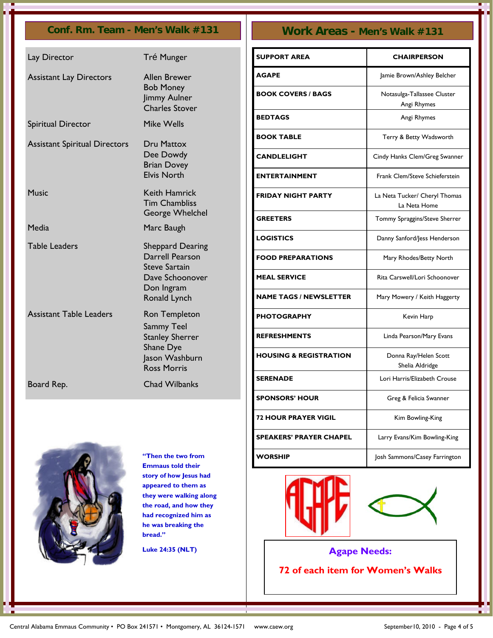## **Conf. Rm. Team - Men's Walk #131 Work Areas - Men's Walk #131**

| Lay Director                         | Tré Munger                                                                                                   |
|--------------------------------------|--------------------------------------------------------------------------------------------------------------|
| <b>Assistant Lay Directors</b>       | <b>Allen Brewer</b><br><b>Bob Money</b><br>Jimmy Aulner<br><b>Charles Stover</b>                             |
| Spiritual Director                   | <b>Mike Wells</b>                                                                                            |
| <b>Assistant Spiritual Directors</b> | Dru Mattox<br>Dee Dowdy<br><b>Brian Dovey</b><br><b>Elvis North</b>                                          |
| Music                                | Keith Hamrick<br><b>Tim Chambliss</b><br>George Whelchel                                                     |
| Media                                | Marc Baugh                                                                                                   |
| <b>Table Leaders</b>                 | Sheppard Dearing<br>Darrell Pearson<br><b>Steve Sartain</b><br>Dave Schoonover<br>Don Ingram<br>Ronald Lynch |
| <b>Assistant Table Leaders</b>       | Ron Templeton<br>Sammy Teel<br><b>Stanley Sherrer</b><br>Shane Dye<br>Jason Washburn<br><b>Ross Morris</b>   |
| Board Rep.                           | <b>Chad Wilbanks</b>                                                                                         |

| <b>SUPPORT AREA</b>               | <b>CHAIRPERSON</b>                            |
|-----------------------------------|-----------------------------------------------|
| <b>AGAPE</b>                      | Jamie Brown/Ashley Belcher                    |
| <b>BOOK COVERS / BAGS</b>         | Notasulga-Tallassee Cluster<br>Angi Rhymes    |
| <b>BEDTAGS</b>                    | Angi Rhymes                                   |
| <b>BOOK TABLE</b>                 | Terry & Betty Wadsworth                       |
| <b>CANDLELIGHT</b>                | Cindy Hanks Clem/Greg Swanner                 |
| <b>ENTERTAINMENT</b>              | Frank Clem/Steve Schieferstein                |
| <b>FRIDAY NIGHT PARTY</b>         | La Neta Tucker/ Cheryl Thomas<br>La Neta Home |
| <b>GREETERS</b>                   | Tommy Spraggins/Steve Sherrer                 |
| <b>LOGISTICS</b>                  | Danny Sanford/Jess Henderson                  |
| <b>FOOD PREPARATIONS</b>          | Mary Rhodes/Betty North                       |
| <b>MEAL SERVICE</b>               | Rita Carswell/Lori Schoonover                 |
| <b>NAME TAGS / NEWSLETTER</b>     | Mary Mowery / Keith Haggerty                  |
| <b>PHOTOGRAPHY</b>                | Kevin Harp                                    |
| <b>REFRESHMENTS</b>               | Linda Pearson/Mary Evans                      |
| <b>HOUSING &amp; REGISTRATION</b> | Donna Ray/Helen Scott<br>Shelia Aldridge      |
| <b>SERENADE</b>                   | Lori Harris/Elizabeth Crouse                  |
| <b>SPONSORS' HOUR</b>             | Greg & Felicia Swanner                        |
| <b>72 HOUR PRAYER VIGIL</b>       | Kim Bowling-King                              |
| <b>SPEAKERS' PRAYER CHAPEL</b>    | Larry Evans/Kim Bowling-King                  |
| <b>WORSHIP</b>                    | Josh Sammons/Casey Farrington                 |





**Agape Needs: 72 of each item for Women's Walks** 



**"Then the two from Emmaus told their story of how Jesus had appeared to them as they were walking along the road, and how they had recognized him as he was breaking the bread."** 

**Luke 24:35 (NLT)**